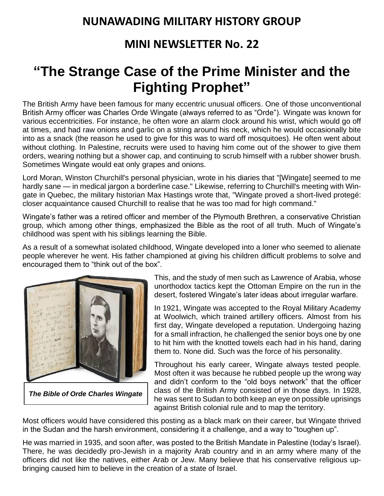## **NUNAWADING MILITARY HISTORY GROUP**

## **MINI NEWSLETTER No. 22**

## **"The Strange Case of the Prime Minister and the Fighting Prophet"**

The British Army have been famous for many eccentric unusual officers. One of those unconventional British Army officer was Charles Orde Wingate (always referred to as "Orde"). Wingate was known for various [eccentricities.](https://en.wikipedia.org/wiki/Eccentricity_(behavior)) For instance, he often wore an alarm clock around his wrist, which would go off at times, and had raw onions and [garlic](https://en.wikipedia.org/wiki/Garlic) on a string around his neck, which he would occasionally bite into as a snack (the reason he used to give for this was to ward off mosquitoes). He often went about without clothing. In Palestine, recruits were used to having him come out of the shower to give them orders, wearing nothing but a shower cap, and continuing to scrub himself with a rubber shower brush. Sometimes Wingate would eat only [grapes](https://en.wikipedia.org/wiki/Grape) and onions.

[Lord Moran,](https://en.wikipedia.org/wiki/Charles_Wilson,_1st_Baron_Moran) Winston Churchill's personal physician, wrote in his diaries that "[Wingate] seemed to me hardly sane — in medical jargon a borderline case." Likewise, referring to Churchill's meeting with Wingate in [Quebec,](https://en.wikipedia.org/wiki/Quebec) the military historian [Max Hastings](https://en.wikipedia.org/wiki/Max_Hastings) wrote that, "Wingate proved a short-lived protegé: closer acquaintance caused Churchill to realise that he was too mad for high command."

Wingate's father was a retired officer and member of the Plymouth Brethren, a conservative Christian group, which among other things, emphasized the Bible as the root of all truth. Much of Wingate's childhood was spent with his siblings learning the Bible.

As a result of a somewhat isolated childhood, Wingate developed into a loner who seemed to alienate people wherever he went. His father championed at giving his children difficult problems to solve and encouraged them to "think out of the box".



*The Bible of Orde Charles Wingate*

This, and the study of men such as Lawrence of Arabia, whose unorthodox tactics kept the Ottoman Empire on the run in the desert, fostered Wingate's later ideas about irregular warfare.

In 1921, Wingate was accepted to the Royal Military Academy at Woolwich, which trained artillery officers. Almost from his first day, Wingate developed a reputation. Undergoing hazing for a small infraction, he challenged the senior boys one by one to hit him with the knotted towels each had in his hand, daring them to. None did. Such was the force of his personality.

Throughout his early career, Wingate always tested people. Most often it was because he rubbed people up the wrong way and didn't conform to the "old boys network" that the officer class of the British Army consisted of in those days. In 1928, he was sent to Sudan to both keep an eye on possible uprisings against British colonial rule and to map the territory.

Most officers would have considered this posting as a black mark on their career, but Wingate thrived in the Sudan and the harsh environment, considering it a challenge, and a way to "toughen up".

He was married in 1935, and soon after, was posted to the British Mandate in Palestine (today's Israel). There, he was decidedly pro-Jewish in a majority Arab country and in an army where many of the officers did not like the natives, either Arab or Jew. Many believe that his conservative religious upbringing caused him to believe in the creation of a state of Israel.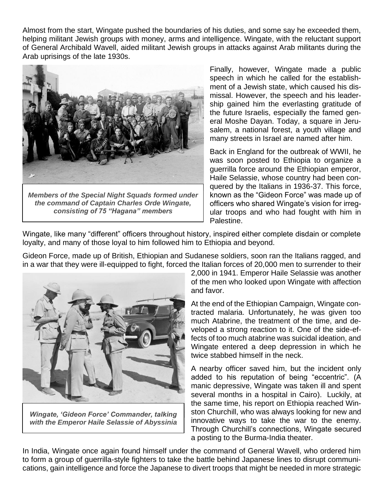Almost from the start, Wingate pushed the boundaries of his duties, and some say he exceeded them, helping militant Jewish groups with money, arms and intelligence. Wingate, with the reluctant support of General Archibald Wavell, aided militant Jewish groups in attacks against Arab militants during the Arab uprisings of the late 1930s.



*Members of the Special Night Squads formed under the command of Captain Charles Orde Wingate, consisting of 75 "Hagana" members*

Finally, however, Wingate made a public speech in which he called for the establishment of a Jewish state, which caused his dismissal. However, the speech and his leadership gained him the everlasting gratitude of the future Israelis, especially the famed general Moshe Dayan. Today, a square in Jerusalem, a national forest, a youth village and many streets in Israel are named after him.

Back in England for the outbreak of WWII, he was soon posted to Ethiopia to organize a guerrilla force around the Ethiopian emperor, Haile Selassie, whose country had been conquered by the Italians in 1936-37. This force, known as the "Gideon Force" was made up of officers who shared Wingate's vision for irregular troops and who had fought with him in Palestine.

Wingate, like many "different" officers throughout history, inspired either complete disdain or complete loyalty, and many of those loyal to him followed him to Ethiopia and beyond.

Gideon Force, made up of British, Ethiopian and Sudanese soldiers, soon ran the Italians ragged, and in a war that they were ill-equipped to fight, forced the Italian forces of 20,000 men to surrender to their



*Wingate, 'Gideon Force' Commander, talking with the Emperor Haile Selassie of Abyssinia*

2,000 in 1941. Emperor Haile Selassie was another of the men who looked upon Wingate with affection and favor.

At the end of the Ethiopian Campaign, Wingate contracted malaria. Unfortunately, he was given too much Atabrine, the treatment of the time, and developed a strong reaction to it. One of the side-effects of too much atabrine was suicidal ideation, and Wingate entered a deep depression in which he twice stabbed himself in the neck.

A nearby officer saved him, but the incident only added to his reputation of being "eccentric". (A manic depressive, Wingate was taken ill and spent several months in a hospital in Cairo). Luckily, at the same time, his report on Ethiopia reached Winston Churchill, who was always looking for new and innovative ways to take the war to the enemy. Through Churchill's connections, Wingate secured a posting to the Burma-India theater.

In India, Wingate once again found himself under the command of General Wavell, who ordered him to form a group of guerrilla-style fighters to take the battle behind Japanese lines to disrupt communications, gain intelligence and force the Japanese to divert troops that might be needed in more strategic